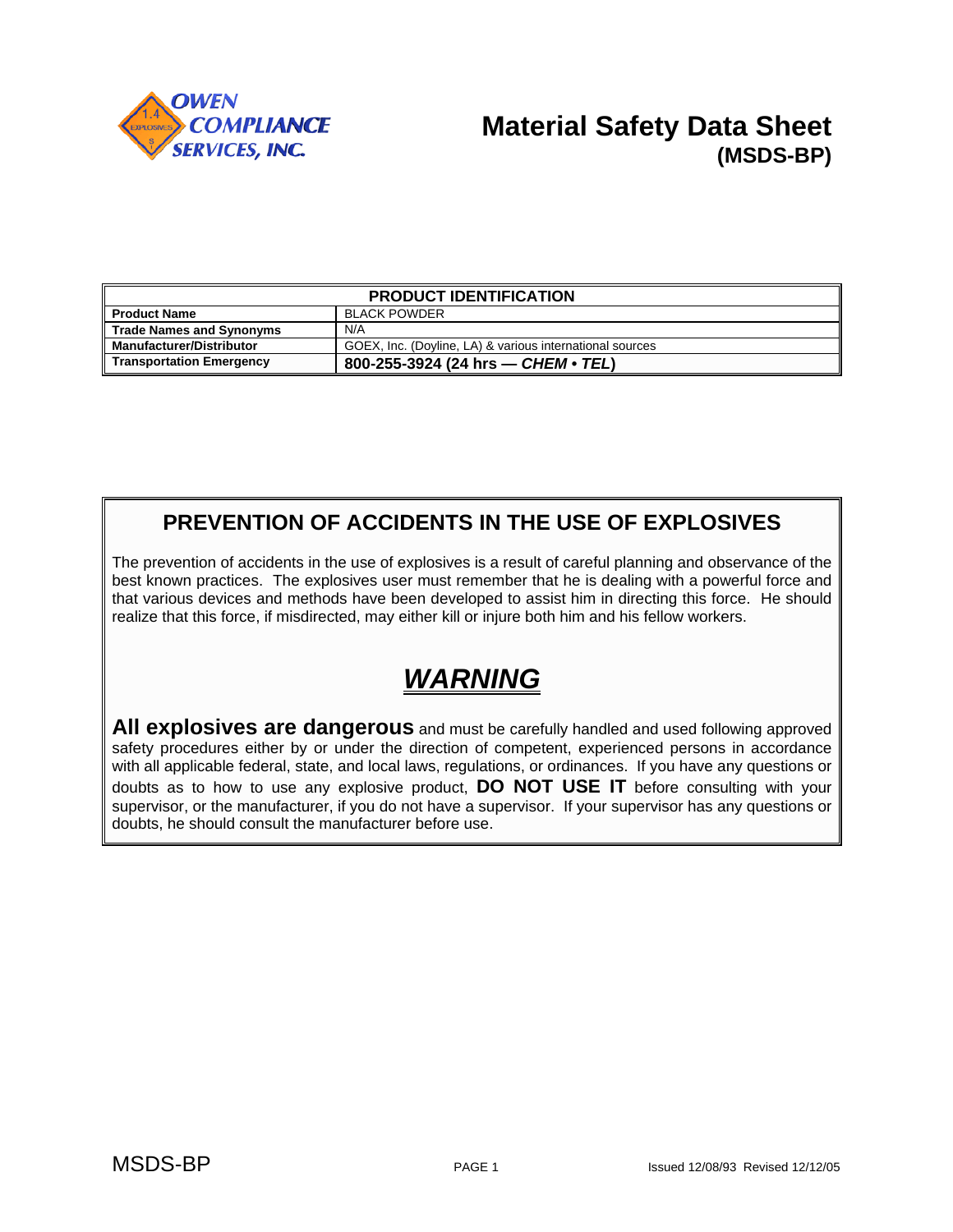

## **Material Safety Data Sheet (MSDS-BP)**

| <b>PRODUCT IDENTIFICATION</b>   |                                                          |  |
|---------------------------------|----------------------------------------------------------|--|
| <b>Il Product Name</b>          | <b>BLACK POWDER</b>                                      |  |
| Trade Names and Synonyms        | N/A                                                      |  |
| Manufacturer/Distributor        | GOEX, Inc. (Doyline, LA) & various international sources |  |
| <b>Transportation Emergency</b> | 800-255-3924 (24 hrs — CHEM • TEL)                       |  |

### **PREVENTION OF ACCIDENTS IN THE USE OF EXPLOSIVES**

The prevention of accidents in the use of explosives is a result of careful planning and observance of the best known practices. The explosives user must remember that he is dealing with a powerful force and that various devices and methods have been developed to assist him in directing this force. He should realize that this force, if misdirected, may either kill or injure both him and his fellow workers.

# *WARNING*

**All explosives are dangerous** and must be carefully handled and used following approved safety procedures either by or under the direction of competent, experienced persons in accordance with all applicable federal, state, and local laws, regulations, or ordinances. If you have any questions or doubts as to how to use any explosive product, **DO NOT USE IT** before consulting with your supervisor, or the manufacturer, if you do not have a supervisor. If your supervisor has any questions or doubts, he should consult the manufacturer before use.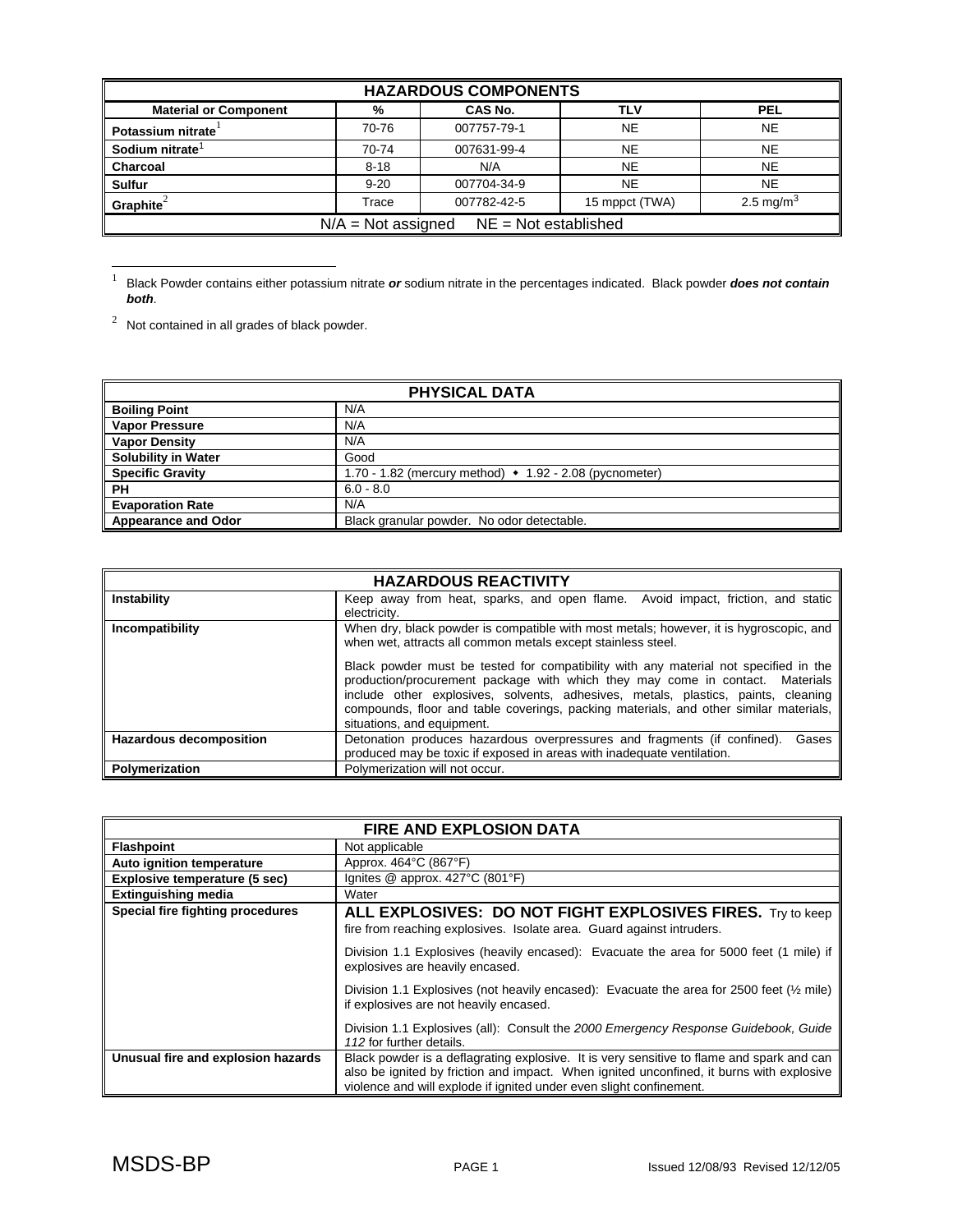| <b>HAZARDOUS COMPONENTS</b>                    |          |             |                |                       |
|------------------------------------------------|----------|-------------|----------------|-----------------------|
| <b>Material or Component</b>                   | %        | CAS No.     | TLV            | <b>PEL</b>            |
| Potassium nitrate                              | 70-76    | 007757-79-1 | <b>NE</b>      | <b>NE</b>             |
| Sodium nitrate <sup>1</sup>                    | 70-74    | 007631-99-4 | <b>NE</b>      | <b>NE</b>             |
| <b>Charcoal</b>                                | $8 - 18$ | N/A         | <b>NE</b>      | <b>NE</b>             |
| <b>Sulfur</b>                                  | $9 - 20$ | 007704-34-9 | <b>NE</b>      | <b>NE</b>             |
| Graphite $^{2}$                                | Trace    | 007782-42-5 | 15 mppct (TWA) | 2.5 mg/m <sup>3</sup> |
| $N/A = Not$ assigned<br>$NE = Not established$ |          |             |                |                       |

 $\frac{1}{1}$  Black Powder contains either potassium nitrate *or* sodium nitrate in the percentages indicated. Black powder *does not contain both*.

 $2^2$  Not contained in all grades of black powder.

| <b>PHYSICAL DATA</b>       |                                                                         |  |
|----------------------------|-------------------------------------------------------------------------|--|
| <b>Boiling Point</b>       | N/A                                                                     |  |
| <b>Vapor Pressure</b>      | N/A                                                                     |  |
| <b>Vapor Density</b>       | N/A                                                                     |  |
| <b>Solubility in Water</b> | Good                                                                    |  |
| <b>Specific Gravity</b>    | 1.70 - 1.82 (mercury method) $\leftrightarrow$ 1.92 - 2.08 (pycnometer) |  |
| <b>PH</b>                  | $6.0 - 8.0$                                                             |  |
| <b>Evaporation Rate</b>    | N/A                                                                     |  |
| <b>Appearance and Odor</b> | Black granular powder. No odor detectable.                              |  |

| <b>HAZARDOUS REACTIVITY</b>    |                                                                                                                                                                                                                                                                                                                                                                                   |  |  |
|--------------------------------|-----------------------------------------------------------------------------------------------------------------------------------------------------------------------------------------------------------------------------------------------------------------------------------------------------------------------------------------------------------------------------------|--|--|
| Instability                    | Keep away from heat, sparks, and open flame. Avoid impact, friction, and static<br>electricity.                                                                                                                                                                                                                                                                                   |  |  |
| Incompatibility                | When dry, black powder is compatible with most metals; however, it is hygroscopic, and<br>when wet, attracts all common metals except stainless steel.                                                                                                                                                                                                                            |  |  |
|                                | Black powder must be tested for compatibility with any material not specified in the<br>production/procurement package with which they may come in contact. Materials<br>include other explosives, solvents, adhesives, metals, plastics, paints, cleaning<br>compounds, floor and table coverings, packing materials, and other similar materials,<br>situations, and equipment. |  |  |
| <b>Hazardous decomposition</b> | Detonation produces hazardous overpressures and fragments (if confined).<br>Gases<br>produced may be toxic if exposed in areas with inadequate ventilation.                                                                                                                                                                                                                       |  |  |
| Polymerization                 | Polymerization will not occur.                                                                                                                                                                                                                                                                                                                                                    |  |  |

| <b>FIRE AND EXPLOSION DATA</b>     |                                                                                                                                                                                                                                                              |  |
|------------------------------------|--------------------------------------------------------------------------------------------------------------------------------------------------------------------------------------------------------------------------------------------------------------|--|
| <b>Flashpoint</b>                  | Not applicable                                                                                                                                                                                                                                               |  |
| Auto ignition temperature          | Approx. 464°C (867°F)                                                                                                                                                                                                                                        |  |
| Explosive temperature (5 sec)      | Ignites $@$ approx. 427 $°C$ (801 $°F$ )                                                                                                                                                                                                                     |  |
| <b>Extinguishing media</b>         | Water                                                                                                                                                                                                                                                        |  |
| Special fire fighting procedures   | ALL EXPLOSIVES: DO NOT FIGHT EXPLOSIVES FIRES. Try to keep<br>fire from reaching explosives. Isolate area. Guard against intruders.                                                                                                                          |  |
|                                    | Division 1.1 Explosives (heavily encased): Evacuate the area for 5000 feet (1 mile) if<br>explosives are heavily encased.                                                                                                                                    |  |
|                                    | Division 1.1 Explosives (not heavily encased): Evacuate the area for 2500 feet $(\frac{1}{2})$ mile)<br>if explosives are not heavily encased.                                                                                                               |  |
|                                    | Division 1.1 Explosives (all): Consult the 2000 Emergency Response Guidebook, Guide<br>112 for further details.                                                                                                                                              |  |
| Unusual fire and explosion hazards | Black powder is a deflagrating explosive. It is very sensitive to flame and spark and can<br>also be ignited by friction and impact. When ignited unconfined, it burns with explosive<br>violence and will explode if ignited under even slight confinement. |  |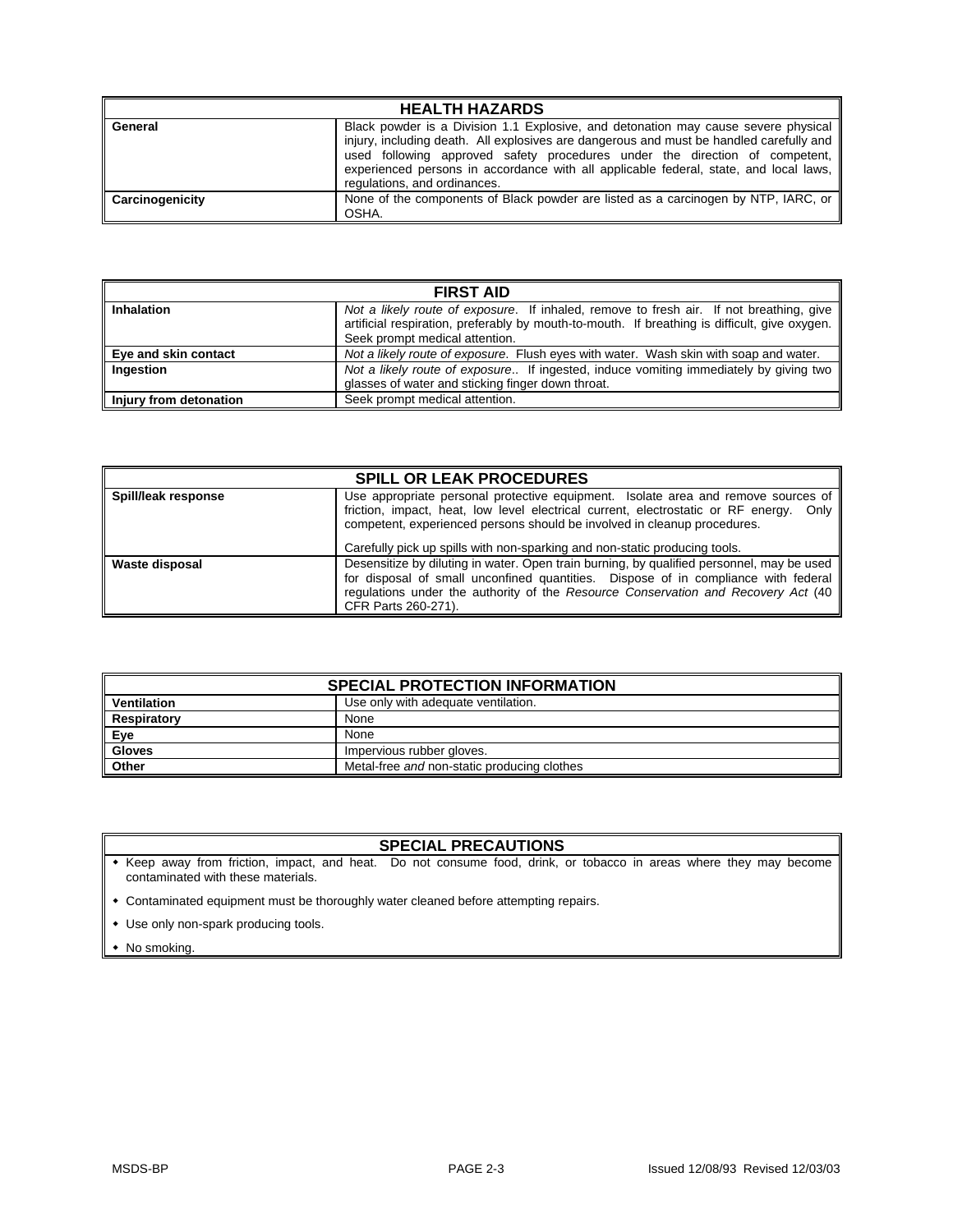| <b>HEALTH HAZARDS</b>  |                                                                                                                                                                                                                                                                                                                                                                                          |  |  |
|------------------------|------------------------------------------------------------------------------------------------------------------------------------------------------------------------------------------------------------------------------------------------------------------------------------------------------------------------------------------------------------------------------------------|--|--|
| General                | Black powder is a Division 1.1 Explosive, and detonation may cause severe physical<br>injury, including death. All explosives are dangerous and must be handled carefully and   <br>used following approved safety procedures under the direction of competent,<br>experienced persons in accordance with all applicable federal, state, and local laws,<br>regulations, and ordinances. |  |  |
| <b>Carcinogenicity</b> | None of the components of Black powder are listed as a carcinogen by NTP, IARC, or<br>OSHA.                                                                                                                                                                                                                                                                                              |  |  |

| <b>FIRST AID</b>       |                                                                                                                                                                                                                            |  |  |
|------------------------|----------------------------------------------------------------------------------------------------------------------------------------------------------------------------------------------------------------------------|--|--|
| <b>Inhalation</b>      | Not a likely route of exposure. If inhaled, remove to fresh air. If not breathing, give<br>artificial respiration, preferably by mouth-to-mouth. If breathing is difficult, give oxygen.<br>Seek prompt medical attention. |  |  |
| Eye and skin contact   | Not a likely route of exposure. Flush eyes with water. Wash skin with soap and water.                                                                                                                                      |  |  |
| Ingestion              | Not a likely route of exposure If ingested, induce vomiting immediately by giving two<br>glasses of water and sticking finger down throat.                                                                                 |  |  |
| Injury from detonation | Seek prompt medical attention.                                                                                                                                                                                             |  |  |

| <b>SPILL OR LEAK PROCEDURES</b> |                                                                                                                                                                                                                                                                                             |  |  |
|---------------------------------|---------------------------------------------------------------------------------------------------------------------------------------------------------------------------------------------------------------------------------------------------------------------------------------------|--|--|
| Spill/leak response             | Use appropriate personal protective equipment. Isolate area and remove sources of<br>friction, impact, heat, low level electrical current, electrostatic or RF energy. Only<br>competent, experienced persons should be involved in cleanup procedures.                                     |  |  |
|                                 | Carefully pick up spills with non-sparking and non-static producing tools.                                                                                                                                                                                                                  |  |  |
| <b>Waste disposal</b>           | Desensitize by diluting in water. Open train burning, by qualified personnel, may be used<br>for disposal of small unconfined quantities. Dispose of in compliance with federal<br>regulations under the authority of the Resource Conservation and Recovery Act (40<br>CFR Parts 260-271). |  |  |

| <b>SPECIAL PROTECTION INFORMATION</b> |                                             |  |
|---------------------------------------|---------------------------------------------|--|
| Ventilation                           | Use only with adequate ventilation.         |  |
| <b>Respiratory</b>                    | None                                        |  |
| ∥ Eye                                 | None                                        |  |
| <b>Gloves</b>                         | Impervious rubber gloves.                   |  |
| <b>Other</b>                          | Metal-free and non-static producing clothes |  |

### **SPECIAL PRECAUTIONS**

 Keep away from friction, impact, and heat. Do not consume food, drink, or tobacco in areas where they may become contaminated with these materials.

Contaminated equipment must be thoroughly water cleaned before attempting repairs.

- Use only non-spark producing tools.
- No smoking.